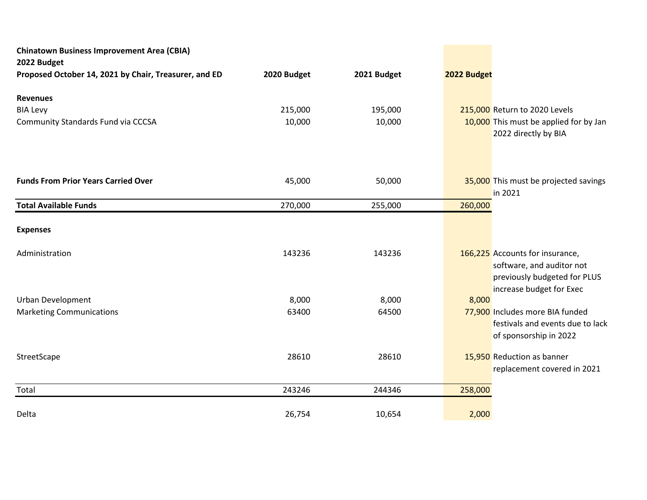| <b>Chinatown Business Improvement Area (CBIA)</b><br>2022 Budget |             |             |             |                                                                                                                          |
|------------------------------------------------------------------|-------------|-------------|-------------|--------------------------------------------------------------------------------------------------------------------------|
| Proposed October 14, 2021 by Chair, Treasurer, and ED            | 2020 Budget | 2021 Budget | 2022 Budget |                                                                                                                          |
| <b>Revenues</b>                                                  |             |             |             |                                                                                                                          |
| <b>BIA Levy</b>                                                  | 215,000     | 195,000     |             | 215,000 Return to 2020 Levels                                                                                            |
| Community Standards Fund via CCCSA                               | 10,000      | 10,000      |             | 10,000 This must be applied for by Jan<br>2022 directly by BIA                                                           |
|                                                                  |             |             |             |                                                                                                                          |
| <b>Funds From Prior Years Carried Over</b>                       | 45,000      | 50,000      |             | 35,000 This must be projected savings<br>in 2021                                                                         |
| <b>Total Available Funds</b>                                     | 270,000     | 255,000     | 260,000     |                                                                                                                          |
| <b>Expenses</b>                                                  |             |             |             |                                                                                                                          |
| Administration                                                   | 143236      | 143236      |             | 166,225 Accounts for insurance,<br>software, and auditor not<br>previously budgeted for PLUS<br>increase budget for Exec |
| <b>Urban Development</b>                                         | 8,000       | 8,000       | 8,000       |                                                                                                                          |
| <b>Marketing Communications</b>                                  | 63400       | 64500       |             | 77,900 Includes more BIA funded<br>festivals and events due to lack<br>of sponsorship in 2022                            |
| StreetScape                                                      | 28610       | 28610       |             | 15,950 Reduction as banner<br>replacement covered in 2021                                                                |
| Total                                                            | 243246      | 244346      | 258,000     |                                                                                                                          |
| Delta                                                            | 26,754      | 10,654      | 2,000       |                                                                                                                          |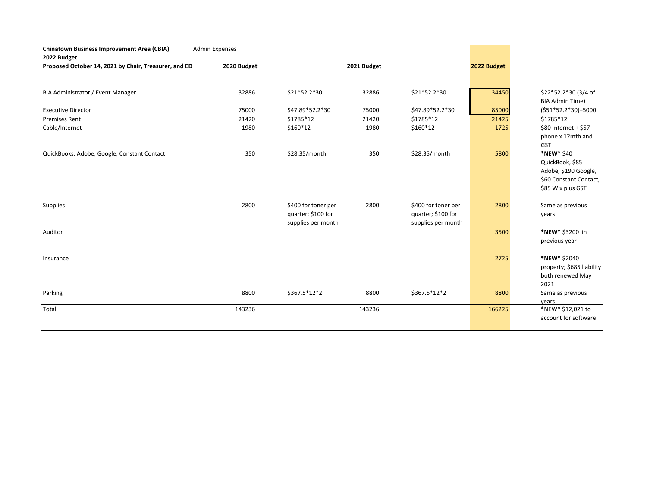| <b>Chinatown Business Improvement Area (CBIA)</b><br>2022 Budget | <b>Admin Expenses</b> |                     |             |                     |             |                                                |
|------------------------------------------------------------------|-----------------------|---------------------|-------------|---------------------|-------------|------------------------------------------------|
| Proposed October 14, 2021 by Chair, Treasurer, and ED            | 2020 Budget           |                     | 2021 Budget |                     | 2022 Budget |                                                |
|                                                                  |                       |                     |             |                     |             |                                                |
| BIA Administrator / Event Manager                                | 32886                 | \$21*52.2*30        | 32886       | \$21*52.2*30        | 34450       | \$22*52.2*30 (3/4 of<br><b>BIA Admin Time)</b> |
| <b>Executive Director</b>                                        | 75000                 | \$47.89*52.2*30     | 75000       | \$47.89*52.2*30     | 85000       | $(551*52.2*30)+5000$                           |
| <b>Premises Rent</b>                                             | 21420                 | \$1785*12           | 21420       | \$1785*12           | 21425       | \$1785*12                                      |
| Cable/Internet                                                   | 1980                  | \$160*12            | 1980        | \$160*12            | 1725        | \$80 Internet + \$57                           |
|                                                                  |                       |                     |             |                     |             | phone x 12mth and                              |
|                                                                  |                       |                     |             |                     |             | <b>GST</b>                                     |
| QuickBooks, Adobe, Google, Constant Contact                      | 350                   | \$28.35/month       | 350         | \$28.35/month       | 5800        | *NEW* \$40                                     |
|                                                                  |                       |                     |             |                     |             | QuickBook, \$85                                |
|                                                                  |                       |                     |             |                     |             | Adobe, \$190 Google,                           |
|                                                                  |                       |                     |             |                     |             | \$60 Constant Contact,                         |
|                                                                  |                       |                     |             |                     |             | \$85 Wix plus GST                              |
| Supplies                                                         | 2800                  | \$400 for toner per | 2800        | \$400 for toner per | 2800        | Same as previous                               |
|                                                                  |                       | quarter; \$100 for  |             | quarter; \$100 for  |             | years                                          |
|                                                                  |                       | supplies per month  |             | supplies per month  |             |                                                |
| Auditor                                                          |                       |                     |             |                     | 3500        | *NEW* \$3200 in                                |
|                                                                  |                       |                     |             |                     |             | previous year                                  |
|                                                                  |                       |                     |             |                     |             |                                                |
| Insurance                                                        |                       |                     |             |                     | 2725        | *NEW* \$2040                                   |
|                                                                  |                       |                     |             |                     |             | property; \$685 liability                      |
|                                                                  |                       |                     |             |                     |             | both renewed May                               |
|                                                                  |                       |                     |             |                     |             | 2021                                           |
| Parking                                                          | 8800                  | \$367.5*12*2        | 8800        | \$367.5*12*2        | 8800        | Same as previous                               |
| Total                                                            | 143236                |                     | 143236      |                     |             | vears<br>*NEW* \$12,021 to                     |
|                                                                  |                       |                     |             |                     | 166225      | account for software                           |
|                                                                  |                       |                     |             |                     |             |                                                |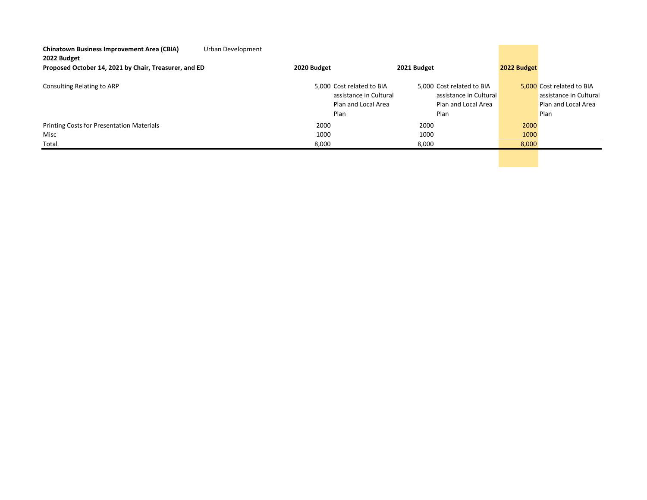| <b>Chinatown Business Improvement Area (CBIA)</b><br>2022 Budget | Urban Development |                                                                                    |                                                                                    |                                                                                    |
|------------------------------------------------------------------|-------------------|------------------------------------------------------------------------------------|------------------------------------------------------------------------------------|------------------------------------------------------------------------------------|
| Proposed October 14, 2021 by Chair, Treasurer, and ED            | 2020 Budget       | 2021 Budget                                                                        | 2022 Budget                                                                        |                                                                                    |
| Consulting Relating to ARP                                       |                   | 5,000 Cost related to BIA<br>assistance in Cultural<br>Plan and Local Area<br>Plan | 5,000 Cost related to BIA<br>assistance in Cultural<br>Plan and Local Area<br>Plan | 5,000 Cost related to BIA<br>assistance in Cultural<br>Plan and Local Area<br>Plan |
| Printing Costs for Presentation Materials                        | 2000              | 2000                                                                               |                                                                                    | 2000                                                                               |
| Misc                                                             | 1000              |                                                                                    | 1000                                                                               | 1000                                                                               |
| Total                                                            | 8,000             | 8,000                                                                              |                                                                                    | 8,000                                                                              |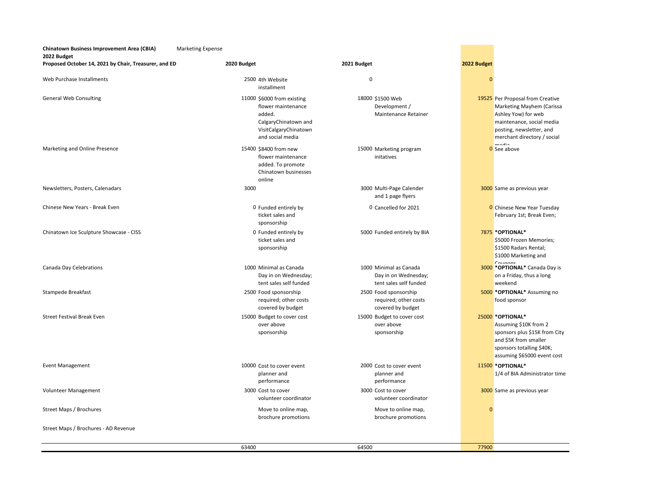**Chinatown Business Improvement Area (CBIA)** Marketing Expense **2022 Budget Proposed October 14, 2021 by Chair, Treasurer, and ED 2020 Budget 2021 Budget 2022 Budget** web Purchase Installments and the Communication of the Communication of the Communication of the Communication of the Communication of the Communication of the Communication of the Communication of the Communication of the 2500 4th Website installment

**General Web Consulting** 

Marketing and Online Presence

Newsletters, Posters, Calenadars 3000 3000

Chinese New Years - Break Even

Chinatown Ice Sculpture Showcase - CISS

Canada Day Celebrations

Volunteer Management

Street Maps / Brochures - AD Revenue

0 Funded entirely by ticket sales and 11000 \$6000 from existing flower maintenance added. CalgaryChinatown and VisitCalgaryChinatown and social media 15400 \$8400 from new flower maintenance added. To promote Chinatown businesses online

> 0 Funded entirely by ticket sales and sponsorship sponsorship

Stampede Breakfast 2500 2500 5000 Food sponsorship Street Festival Break Even 15000 15000 Eudget to to the Street Festival Break Even 15000 15000 25000 15000 Budget to cover cost 1000 Minimal as Canada Day in on Wednesday; tent sales self funded 2500 Food sponsorship required; other costs covered by budget over above sponsorship

Event Management 10000 2000 11500 Cost to cover event planner and performance 3000 Cost to cover volunteer coordinator

> Move to online map, brochure promotions

## 18000 \$1500 Web Development / Maintenance Retainer

15000 Marketing program initatives

3000 Multi-Page Calender and 1 page flyers

Cancelled for 2021

5000 Funded entirely by BIA

1000 Minimal as Canada Day in on Wednesday; tent sales self funded required; other costs covered by budget 15000 Budget to cover cost over above sponsorship

Street Maps / Brochures **1988** Controller Maps / Move to online map, and the Maps of Brochures Controller Maps / Brochures **0** Move to online map, 2000 Cost to cover event planner and performance 3000 Cost to cover volunteer coordinator

brochure promotions

63400 64500 77900

## 19525 Per Proposal from Creative Marketing Mayhem (Carissa Ashley Yow) for web maintenance, social media posting, newsletter, and merchant directory / social

 $\Omega$  See above

**0** Chinese New Year Tuesday February 1st; Break Even; **\*OPTIONAL\***  \$5000 Frozen Memories; \$1500 Radars Rental; \$1000 Marketing and 3000 Same as previous year

Coupons **\*OPTIONAL\*** Canada Day is on a Friday, thus a long weekend

**\*OPTIONAL\*** Assuming no food sponsor

## **\*OPTIONAL\***

Assuming \$10K from 2 sponsors plus \$15K from City and \$5K from smaller sponsors totalling \$40K; assuming \$65000 event cost

**\*OPTIONAL\*** 

1/4 of BIA Administrator time

## 3000 Same as previous year